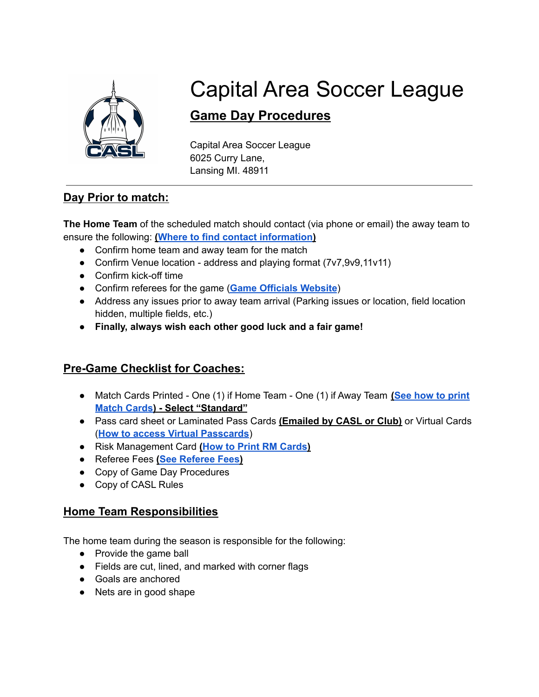

# Capital Area Soccer League

# **Game Day Procedures**

Capital Area Soccer League 6025 Curry Lane, Lansing MI. 48911

# **Day Prior to match:**

**The Home Team** of the scheduled match should contact (via phone or email) the away team to ensure the following: **(Where to find contact [information](https://system.gotsport.com/org_event/events/8558))**

- Confirm home team and away team for the match
- Confirm Venue location address and playing format (7v7,9v9,11v11)
- Confirm kick-off time
- Confirm referees for the game (**Game [Officials](https://www.gameofficials.net/public/schedules/schedule.cfm?group=1308&iLeagueID=3563&searchLevel=display&strGameLevel=U10%20%2D%20F&iTeamID=%5B%5B%5BALL%5D%5D%5D) Website**)
- Address any issues prior to away team arrival (Parking issues or location, field location hidden, multiple fields, etc.)
- **● Finally, always wish each other good luck and a fair game!**

# **Pre-Game Checklist for Coaches:**

- Match Cards Printed One (1) if Home Team One (1) if Away Team **(See how to [print](https://gotsport.zendesk.com/hc/en-us/articles/360052832054-How-to-Print-a-Match-Card) [Match](https://gotsport.zendesk.com/hc/en-us/articles/360052832054-How-to-Print-a-Match-Card) Cards) - Select "Standard"**
- Pass card sheet or Laminated Pass Cards **(Emailed by CASL or Club)** or Virtual Cards (**How to access Virtual [Passcards](https://docs.google.com/document/d/1cS2TjReojamZhECg77OEzihubIFMuQ6FP9M3n94HeV4/edit?usp=sharing)**)
- Risk Management Card **(How to Print RM [Cards](https://www.michiganyouthsoccer.org/Assets/Michigan+Youth+Soccer1+Digital+Assets/RM+Card+Instructions.pdf))**
- Referee Fees **(See [Referee](https://www.caslsoccer.org/referees) Fees)**
- Copy of Game Day Procedures
- Copy of CASL Rules

# **Home Team Responsibilities**

The home team during the season is responsible for the following:

- **●** Provide the game ball
- Fields are cut, lined, and marked with corner flags
- Goals are anchored
- Nets are in good shape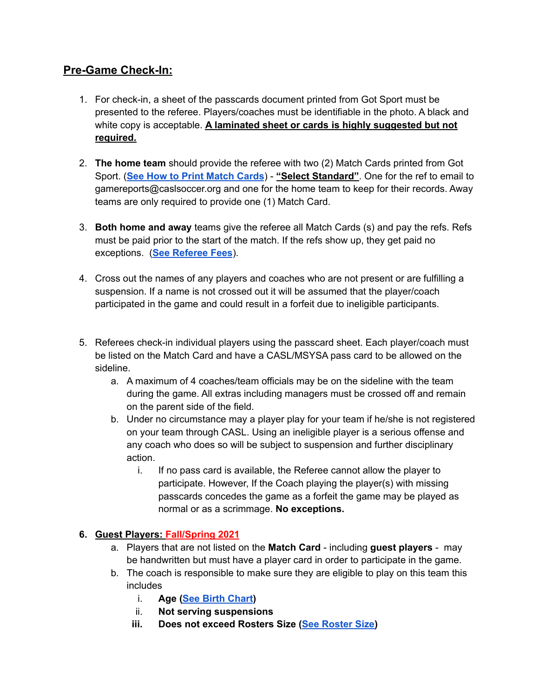## **Pre-Game Check-In:**

- 1. For check-in, a sheet of the passcards document printed from Got Sport must be presented to the referee. Players/coaches must be identifiable in the photo. A black and white copy is acceptable. **A laminated sheet or cards is highly suggested but not required.**
- 2. **The home team** should provide the referee with two (2) Match Cards printed from Got Sport. (**See How to Print [Match](https://gotsport.zendesk.com/hc/en-us/articles/360052832054-How-to-Print-a-Match-Card) Cards**) - **"Select Standard"**. One for the ref to email to gamereports@caslsoccer.org and one for the home team to keep for their records. Away teams are only required to provide one (1) Match Card.
- 3. **Both home and away** teams give the referee all Match Cards (s) and pay the refs. Refs must be paid prior to the start of the match. If the refs show up, they get paid no exceptions. (**See [Referee](https://www.caslsoccer.org/referees) Fees**).
- 4. Cross out the names of any players and coaches who are not present or are fulfilling a suspension. If a name is not crossed out it will be assumed that the player/coach participated in the game and could result in a forfeit due to ineligible participants.
- 5. Referees check-in individual players using the passcard sheet. Each player/coach must be listed on the Match Card and have a CASL/MSYSA pass card to be allowed on the sideline.
	- a. A maximum of 4 coaches/team officials may be on the sideline with the team during the game. All extras including managers must be crossed off and remain on the parent side of the field.
	- b. Under no circumstance may a player play for your team if he/she is not registered on your team through CASL. Using an ineligible player is a serious offense and any coach who does so will be subject to suspension and further disciplinary action.
		- i. If no pass card is available, the Referee cannot allow the player to participate. However, If the Coach playing the player(s) with missing passcards concedes the game as a forfeit the game may be played as normal or as a scrimmage. **No exceptions.**

#### **6. Guest Players: Fall/Spring 2021**

- a. Players that are not listed on the **Match Card** including **guest players** may be handwritten but must have a player card in order to participate in the game.
- b. The coach is responsible to make sure they are eligible to play on this team this includes
	- i. **Age (See Birth [Chart](https://www.usyouthsoccer.org/file.aspx?DocumentId=63))**
	- ii. **Not serving suspensions**
	- **iii. Does not exceed Rosters Size (See [Roster](https://53ef6aca-8ec5-4ecd-8546-975b6007d271.filesusr.com/ugd/3fa1d9_2102fb0ca5ff4ffcbf9b27085858833f.pdf) Size)**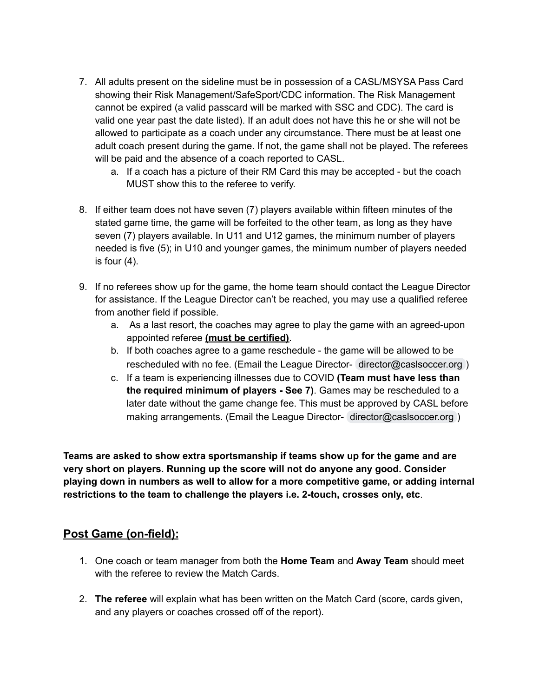- 7. All adults present on the sideline must be in possession of a CASL/MSYSA Pass Card showing their Risk Management/SafeSport/CDC information. The Risk Management cannot be expired (a valid passcard will be marked with SSC and CDC). The card is valid one year past the date listed). If an adult does not have this he or she will not be allowed to participate as a coach under any circumstance. There must be at least one adult coach present during the game. If not, the game shall not be played. The referees will be paid and the absence of a coach reported to CASL.
	- a. If a coach has a picture of their RM Card this may be accepted but the coach MUST show this to the referee to verify.
- 8. If either team does not have seven (7) players available within fifteen minutes of the stated game time, the game will be forfeited to the other team, as long as they have seven (7) players available. In U11 and U12 games, the minimum number of players needed is five (5); in U10 and younger games, the minimum number of players needed is four (4).
- 9. If no referees show up for the game, the home team should contact the League Director for assistance. If the League Director can't be reached, you may use a qualified referee from another field if possible.
	- a. As a last resort, the coaches may agree to play the game with an agreed-upon appointed referee **(must be certified)**.
	- b. If both coaches agree to a game reschedule the game will be allowed to be rescheduled with no fee. (Email the League Director- [director@caslsoccer.org](mailto:director@caslsoccer.org) )
	- c. If a team is experiencing illnesses due to COVID **(Team must have less than the required minimum of players - See 7)**. Games may be rescheduled to a later date without the game change fee. This must be approved by CASL before making arrangements. (Email the League Director- [director@caslsoccer.org](mailto:director@caslsoccer.org))

**Teams are asked to show extra sportsmanship if teams show up for the game and are very short on players. Running up the score will not do anyone any good. Consider playing down in numbers as well to allow for a more competitive game, or adding internal restrictions to the team to challenge the players i.e. 2-touch, crosses only, etc**.

## **Post Game (on-field):**

- 1. One coach or team manager from both the **Home Team** and **Away Team** should meet with the referee to review the Match Cards.
- 2. **The referee** will explain what has been written on the Match Card (score, cards given, and any players or coaches crossed off of the report).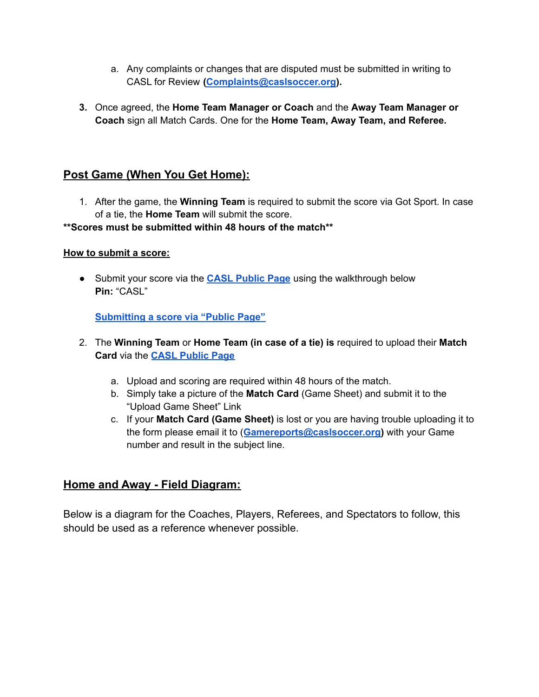- a. Any complaints or changes that are disputed must be submitted in writing to CASL for Review **[\(Complaints@caslsoccer.org\)](mailto:Complaints@caslsoccer.org).**
- **3.** Once agreed, the **Home Team Manager or Coach** and the **Away Team Manager or Coach** sign all Match Cards. One for the **Home Team, Away Team, and Referee.**

#### **Post Game (When You Get Home):**

1. After the game, the **Winning Team** is required to submit the score via Got Sport. In case of a tie, the **Home Team** will submit the score.

#### **\*\*Scores must be submitted within 48 hours of the match\*\***

#### **How to submit a score:**

● Submit your score via the **CASL [Public](https://system.gotsport.com/org_event/events/8558/submit_pins/new) Page** using the walkthrough below **Pin:** "CASL"

**[Submitting](https://gotsport.zendesk.com/hc/en-us/articles/360053705453-How-to-enter-score-from-public-page) a score via "Public Page"**

- 2. The **Winning Team** or **Home Team (in case of a tie) is** required to upload their **Match Card** via the **CASL [Public](https://system.gotsport.com/org_event/events/8558/submit_pins/new) Page**
	- a. Upload and scoring are required within 48 hours of the match.
	- b. Simply take a picture of the **Match Card** (Game Sheet) and submit it to the "Upload Game Sheet" Link
	- c. If your **Match Card (Game Sheet)** is lost or you are having trouble uploading it to the form please email it to (**[Gamereports@caslsoccer.org\)](mailto:Gamereports@caslsoccer.org)** with your Game number and result in the subject line.

#### **Home and Away - Field Diagram:**

Below is a diagram for the Coaches, Players, Referees, and Spectators to follow, this should be used as a reference whenever possible.